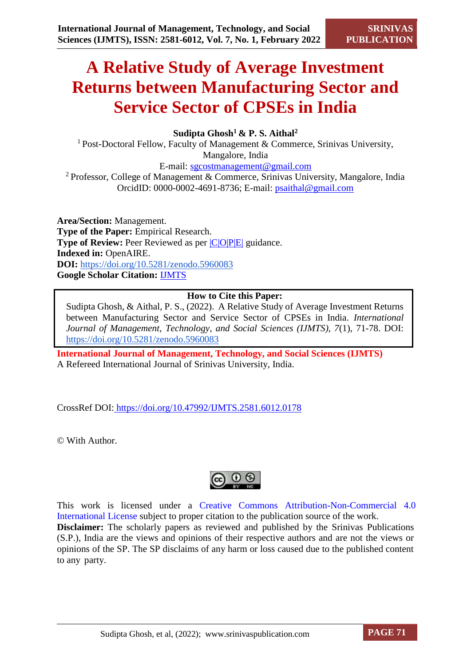# **A Relative Study of Average Investment Returns between Manufacturing Sector and Service Sector of CPSEs in India**

# **Sudipta Ghosh<sup>1</sup>& P. S. Aithal<sup>2</sup>**

<sup>1</sup> Post-Doctoral Fellow, Faculty of Management & Commerce, Srinivas University, Mangalore, India E-mail: [sgcostmanagement@gmail.com](mailto:sgcostmanagement@gmail.com)

<sup>2</sup>Professor, College of Management & Commerce, Srinivas University, Mangalore, India OrcidID: 0000-0002-4691-8736; E-mail: [psaithal@gmail.com](mailto:psaithal@gmail.com)

**Area/Section:** Management. **Type of the Paper:** Empirical Research. **Type of Review:** Peer Reviewed as per  $|C|O||P|E|$  guidance. **Indexed in:** OpenAIRE. **DOI:** <https://doi.org/10.5281/zenodo.5960083> **Google Scholar Citation:** [IJMTS](https://scholar.google.com/citations?user=bphF0BQAAAAJ)

# **How to Cite this Paper:**

Sudipta Ghosh, & Aithal, P. S., (2022). A Relative Study of Average Investment Returns between Manufacturing Sector and Service Sector of CPSEs in India. *International Journal of Management, Technology, and Social Sciences (IJMTS), 7*(1), 71-78. DOI: <https://doi.org/10.5281/zenodo.5960083>

**International Journal of Management, Technology, and Social Sciences (IJMTS)** A Refereed International Journal of Srinivas University, India.

CrossRef DOI: [https://doi.org/10.47992/IJMTS.2581.6012.0178](https://search.crossref.org/?q=10.47992%2FIJMTS.2581.6012.0178&from_ui=yes)

© With Author.



This work is licensed under a Creative Commons Attribution-Non-Commercial 4.0 International License subject to proper citation to the publication source of the work. **Disclaimer:** The scholarly papers as reviewed and published by the Srinivas Publications (S.P.), India are the views and opinions of their respective authors and are not the views or opinions of the SP. The SP disclaims of any harm or loss caused due to the published content to any party.

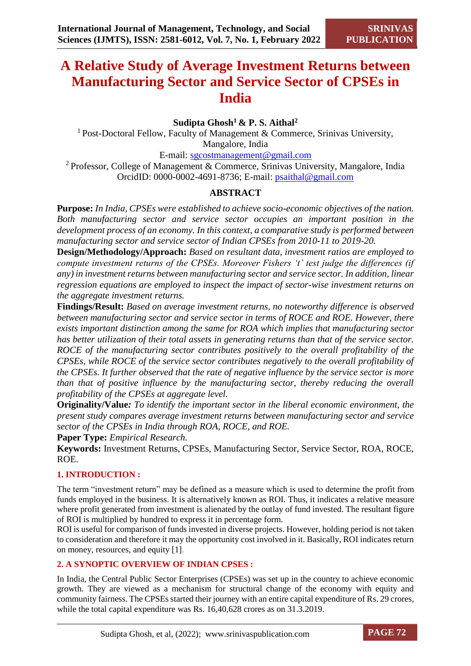# **A Relative Study of Average Investment Returns between Manufacturing Sector and Service Sector of CPSEs in India**

# **Sudipta Ghosh<sup>1</sup>& P. S. Aithal<sup>2</sup>**

<sup>1</sup> Post-Doctoral Fellow, Faculty of Management & Commerce, Srinivas University, Mangalore, India

E-mail: [sgcostmanagement@gmail.com](mailto:sgcostmanagement@gmail.com)

<sup>2</sup> Professor, College of Management & Commerce, Srinivas University, Mangalore, India OrcidID: 0000-0002-4691-8736; E-mail: [psaithal@gmail.com](mailto:psaithal@gmail.com)

# **ABSTRACT**

**Purpose:** *In India, CPSEs were established to achieve socio-economic objectives of the nation. Both manufacturing sector and service sector occupies an important position in the development process of an economy. In this context, a comparative study is performed between manufacturing sector and service sector of Indian CPSEs from 2010-11 to 2019-20.*

**Design/Methodology/Approach:** *Based on resultant data, investment ratios are employed to compute investment returns of the CPSEs. Moreover Fishers 't' test judge the differences (if any) in investment returns between manufacturing sector and service sector. In addition, linear regression equations are employed to inspect the impact of sector-wise investment returns on the aggregate investment returns.*

**Findings/Result:** *Based on average investment returns, no noteworthy difference is observed between manufacturing sector and service sector in terms of ROCE and ROE. However, there exists important distinction among the same for ROA which implies that manufacturing sector has better utilization of their total assets in generating returns than that of the service sector. ROCE of the manufacturing sector contributes positively to the overall profitability of the CPSEs, while ROCE of the service sector contributes negatively to the overall profitability of the CPSEs. It further observed that the rate of negative influence by the service sector is more than that of positive influence by the manufacturing sector, thereby reducing the overall profitability of the CPSEs at aggregate level.*

**Originality/Value***: To identify the important sector in the liberal economic environment, the present study compares average investment returns between manufacturing sector and service sector of the CPSEs in India through ROA, ROCE, and ROE.* 

**Paper Type:** *Empirical Research.*

**Keywords:** Investment Returns, CPSEs, Manufacturing Sector, Service Sector, ROA, ROCE, ROE.

#### **1. INTRODUCTION :**

The term "investment return" may be defined as a measure which is used to determine the profit from funds employed in the business. It is alternatively known as ROI. Thus, it indicates a relative measure where profit generated from investment is alienated by the outlay of fund invested. The resultant figure of ROI is multiplied by hundred to express it in percentage form.

ROI is useful for comparison of funds invested in diverse projects. However, holding period is not taken to consideration and therefore it may the opportunity cost involved in it. Basically, ROI indicates return on money, resources, and equity [1].

#### **2. A SYNOPTIC OVERVIEW OF INDIAN CPSES :**

In India, the Central Public Sector Enterprises (CPSEs) was set up in the country to achieve economic growth. They are viewed as a mechanism for structural change of the economy with equity and community fairness. The CPSEs started their journey with an entire capital expenditure of Rs. 29 crores, while the total capital expenditure was Rs. 16,40,628 crores as on 31.3.2019.

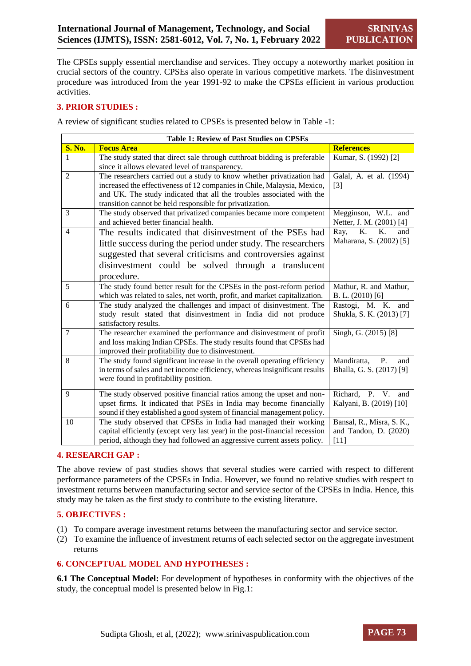The CPSEs supply essential merchandise and services. They occupy a noteworthy market position in crucial sectors of the country. CPSEs also operate in various competitive markets. The disinvestment procedure was introduced from the year 1991-92 to make the CPSEs efficient in various production activities.

#### **3. PRIOR STUDIES :**

A review of significant studies related to CPSEs is presented below in Table -1:

|                | <b>Table 1: Review of Past Studies on CPSEs</b>                             |                           |  |  |  |  |
|----------------|-----------------------------------------------------------------------------|---------------------------|--|--|--|--|
| <b>S. No.</b>  | <b>Focus Area</b>                                                           | <b>References</b>         |  |  |  |  |
| 1              | The study stated that direct sale through cutthroat bidding is preferable   | Kumar, S. (1992) [2]      |  |  |  |  |
|                | since it allows elevated level of transparency.                             |                           |  |  |  |  |
| $\overline{2}$ | The researchers carried out a study to know whether privatization had       | Galal, A. et al. (1994)   |  |  |  |  |
|                | increased the effectiveness of 12 companies in Chile, Malaysia, Mexico,     | $\lceil 3 \rceil$         |  |  |  |  |
|                | and UK. The study indicated that all the troubles associated with the       |                           |  |  |  |  |
|                | transition cannot be held responsible for privatization.                    |                           |  |  |  |  |
| 3              | The study observed that privatized companies became more competent          | Megginson, W.L. and       |  |  |  |  |
|                | and achieved better financial health.                                       | Netter, J. M. (2001) [4]  |  |  |  |  |
| $\overline{4}$ | The results indicated that disinvestment of the PSEs had                    | K.<br>K.<br>Ray,<br>and   |  |  |  |  |
|                | little success during the period under study. The researchers               | Maharana, S. (2002) [5]   |  |  |  |  |
|                | suggested that several criticisms and controversies against                 |                           |  |  |  |  |
|                | disinvestment could be solved through a translucent                         |                           |  |  |  |  |
|                | procedure.                                                                  |                           |  |  |  |  |
| 5              | The study found better result for the CPSEs in the post-reform period       | Mathur, R. and Mathur,    |  |  |  |  |
|                | which was related to sales, net worth, profit, and market capitalization.   | B. L. $(2010)$ [6]        |  |  |  |  |
| 6              | The study analyzed the challenges and impact of disinvestment. The          | Rastogi, M. K. and        |  |  |  |  |
|                | study result stated that disinvestment in India did not produce             | Shukla, S. K. (2013) [7]  |  |  |  |  |
|                | satisfactory results.                                                       |                           |  |  |  |  |
| $\overline{7}$ | The researcher examined the performance and disinvestment of profit         | Singh, G. (2015) [8]      |  |  |  |  |
|                | and loss making Indian CPSEs. The study results found that CPSEs had        |                           |  |  |  |  |
|                | improved their profitability due to disinvestment.                          |                           |  |  |  |  |
| 8              | The study found significant increase in the overall operating efficiency    | Mandiratta,<br>P.<br>and  |  |  |  |  |
|                | in terms of sales and net income efficiency, whereas insignificant results  | Bhalla, G. S. (2017) [9]  |  |  |  |  |
|                | were found in profitability position.                                       |                           |  |  |  |  |
| 9              | The study observed positive financial ratios among the upset and non-       | Richard, P. V. and        |  |  |  |  |
|                | upset firms. It indicated that PSEs in India may become financially         | Kalyani, B. (2019) [10]   |  |  |  |  |
|                | sound if they established a good system of financial management policy.     |                           |  |  |  |  |
| 10             | The study observed that CPSEs in India had managed their working            | Bansal, R., Misra, S. K., |  |  |  |  |
|                | capital efficiently (except very last year) in the post-financial recession | and Tandon, D. (2020)     |  |  |  |  |
|                | period, although they had followed an aggressive current assets policy.     | $[11]$                    |  |  |  |  |

#### **4. RESEARCH GAP :**

The above review of past studies shows that several studies were carried with respect to different performance parameters of the CPSEs in India. However, we found no relative studies with respect to investment returns between manufacturing sector and service sector of the CPSEs in India. Hence, this study may be taken as the first study to contribute to the existing literature.

#### **5. OBJECTIVES :**

- (1) To compare average investment returns between the manufacturing sector and service sector.
- (2) To examine the influence of investment returns of each selected sector on the aggregate investment returns

#### **6. CONCEPTUAL MODEL AND HYPOTHESES :**

**6.1 The Conceptual Model:** For development of hypotheses in conformity with the objectives of the study, the conceptual model is presented below in Fig.1:

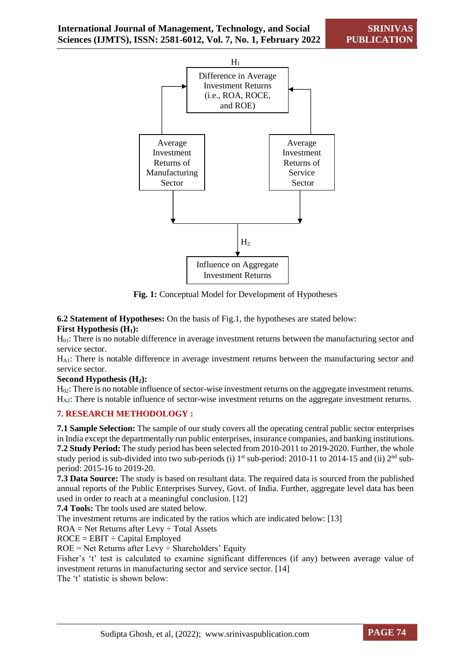

**Fig. 1:** Conceptual Model for Development of Hypotheses

**6.2 Statement of Hypotheses:** On the basis of Fig.1, the hypotheses are stated below:

# **First Hypothesis (H1):**

H<sub>01</sub>: There is no notable difference in average investment returns between the manufacturing sector and service sector.

HA1: There is notable difference in average investment returns between the manufacturing sector and service sector.

#### **Second Hypothesis (H2):**

H<sub>02</sub>: There is no notable influence of sector-wise investment returns on the aggregate investment returns. HA2: There is notable influence of sector-wise investment returns on the aggregate investment returns.

# **7. RESEARCH METHODOLOGY :**

**7.1 Sample Selection:** The sample of our study covers all the operating central public sector enterprises in India except the departmentally run public enterprises, insurance companies, and banking institutions. **7.2 Study Period:** The study period has been selected from 2010-2011 to 2019-2020. Further, the whole study period is sub-divided into two sub-periods (i) 1<sup>st</sup> sub-period: 2010-11 to 2014-15 and (ii) 2<sup>nd</sup> subperiod: 2015-16 to 2019-20.

**7.3 Data Source:** The study is based on resultant data. The required data is sourced from the published annual reports of the Public Enterprises Survey, Govt. of India. Further, aggregate level data has been used in order to reach at a meaningful conclusion. [12]

**7.4 Tools:** The tools used are stated below.

The investment returns are indicated by the ratios which are indicated below: [13]

 $ROA = Net Returns after Levy \div Total Assets$ 

 $ROCE = EBIT \div Capital \, Emploved$ 

 $ROE = Net Returns after Levy \div Shareholders' Equity$ 

Fisher's 't' test is calculated to examine significant differences (if any) between average value of investment returns in manufacturing sector and service sector. [14]

The 't' statistic is shown below:

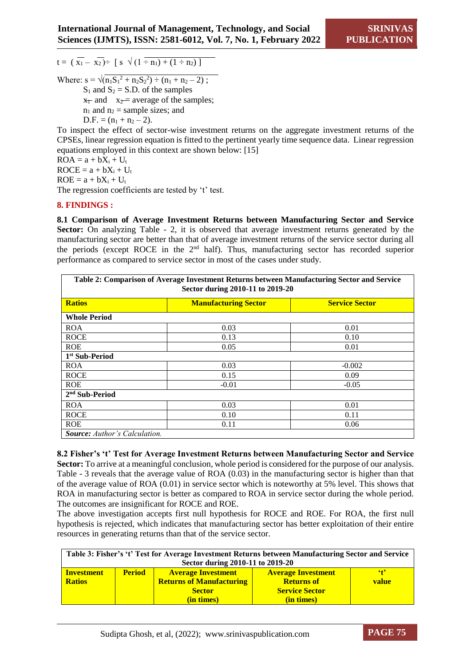$t = (\overline{x_1} - \overline{x_2}) \div [\overline{s} \sqrt{(1 - \overline{x_1}) + (1 - \overline{x_2})}]$ 

Where:  $s = \sqrt{(n_1S_1^2 + n_2S_2^2) \div (n_1 + n_2 - 2)}$ ;  $S_1$  and  $S_2 = S.D.$  of the samples  $x_1$  and  $x_2$  = average of the samples;  $n_1$  and  $n_2$  = sample sizes; and  $D.F. = (n_1 + n_2 - 2)$ .

To inspect the effect of sector-wise investment returns on the aggregate investment returns of the CPSEs, linear regression equation is fitted to the pertinent yearly time sequence data. Linear regression equations employed in this context are shown below: [15]

 $ROA = a + bX_i + U_t$  $ROCE = a + bX_i + U_t$  $ROE = a + bX_i + U_t$ 

The regression coefficients are tested by 't' test.

#### **8. FINDINGS :**

**8.1 Comparison of Average Investment Returns between Manufacturing Sector and Service Sector:** On analyzing Table - 2, it is observed that average investment returns generated by the manufacturing sector are better than that of average investment returns of the service sector during all the periods (except ROCE in the  $2<sup>nd</sup>$  half). Thus, manufacturing sector has recorded superior performance as compared to service sector in most of the cases under study.

| Table 2: Comparison of Average Investment Returns between Manufacturing Sector and Service<br>Sector during 2010-11 to 2019-20 |                             |                       |  |  |  |
|--------------------------------------------------------------------------------------------------------------------------------|-----------------------------|-----------------------|--|--|--|
| <b>Ratios</b>                                                                                                                  | <b>Manufacturing Sector</b> | <b>Service Sector</b> |  |  |  |
| <b>Whole Period</b>                                                                                                            |                             |                       |  |  |  |
| <b>ROA</b>                                                                                                                     | 0.03                        | 0.01                  |  |  |  |
| <b>ROCE</b>                                                                                                                    | 0.13                        | 0.10                  |  |  |  |
| <b>ROE</b>                                                                                                                     | 0.05                        | 0.01                  |  |  |  |
| 1 <sup>st</sup> Sub-Period                                                                                                     |                             |                       |  |  |  |
| <b>ROA</b>                                                                                                                     | 0.03                        | $-0.002$              |  |  |  |
| <b>ROCE</b>                                                                                                                    | 0.15                        | 0.09                  |  |  |  |
| <b>ROE</b>                                                                                                                     | $-0.01$                     | $-0.05$               |  |  |  |
| 2 <sup>nd</sup> Sub-Period                                                                                                     |                             |                       |  |  |  |
| <b>ROA</b>                                                                                                                     | 0.03                        | 0.01                  |  |  |  |
| <b>ROCE</b>                                                                                                                    | 0.10                        | 0.11                  |  |  |  |
| <b>ROE</b>                                                                                                                     | 0.11                        | 0.06                  |  |  |  |
| <b>Source:</b> Author's Calculation.                                                                                           |                             |                       |  |  |  |

**8.2 Fisher's 't' Test for Average Investment Returns between Manufacturing Sector and Service Sector:** To arrive at a meaningful conclusion, whole period is considered for the purpose of our analysis. Table - 3 reveals that the average value of ROA (0.03) in the manufacturing sector is higher than that of the average value of ROA (0.01) in service sector which is noteworthy at 5% level. This shows that ROA in manufacturing sector is better as compared to ROA in service sector during the whole period. The outcomes are insignificant for ROCE and ROE.

The above investigation accepts first null hypothesis for ROCE and ROE. For ROA, the first null hypothesis is rejected, which indicates that manufacturing sector has better exploitation of their entire resources in generating returns than that of the service sector.

| Table 3: Fisher's 't' Test for Average Investment Returns between Manufacturing Sector and Service |               |                                 |                           |              |  |
|----------------------------------------------------------------------------------------------------|---------------|---------------------------------|---------------------------|--------------|--|
| Sector during 2010-11 to 2019-20                                                                   |               |                                 |                           |              |  |
| <b>Investment</b>                                                                                  | <b>Period</b> | <b>Average Investment</b>       | <b>Average Investment</b> | $^{\circ}$ t |  |
| <b>Ratios</b>                                                                                      |               | <b>Returns of Manufacturing</b> | <b>Returns of</b>         | value        |  |
|                                                                                                    |               | <b>Sector</b>                   | <b>Service Sector</b>     |              |  |
|                                                                                                    |               | (in times)                      | (in times)                |              |  |

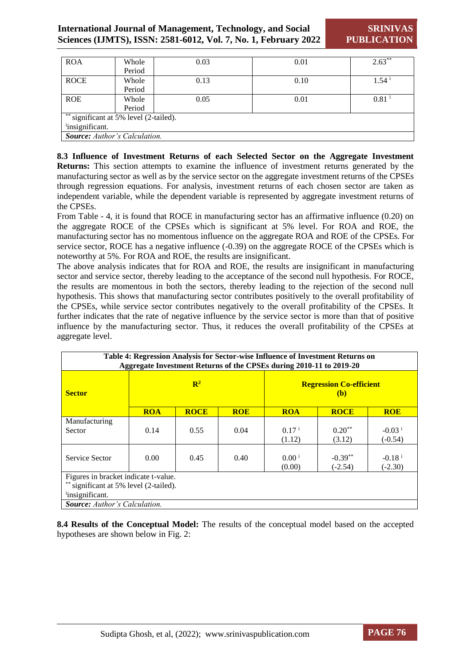| <b>ROA</b>                              | Whole  | 0.03 | 0.01 | $2.63***$           |  |
|-----------------------------------------|--------|------|------|---------------------|--|
|                                         | Period |      |      |                     |  |
| <b>ROCE</b>                             | Whole  | 0.13 | 0.10 | $1.54^{\mathrm{i}}$ |  |
|                                         | Period |      |      |                     |  |
| <b>ROE</b>                              | Whole  | 0.05 | 0.01 | $0.81$ <sup>i</sup> |  |
|                                         | Period |      |      |                     |  |
| $*$ significant at 5% level (2-tailed). |        |      |      |                     |  |
| insignificant.                          |        |      |      |                     |  |
| <b>Source:</b> Author's Calculation.    |        |      |      |                     |  |

**8.3 Influence of Investment Returns of each Selected Sector on the Aggregate Investment Returns:** This section attempts to examine the influence of investment returns generated by the manufacturing sector as well as by the service sector on the aggregate investment returns of the CPSEs through regression equations. For analysis, investment returns of each chosen sector are taken as independent variable, while the dependent variable is represented by aggregate investment returns of the CPSEs.

From Table - 4, it is found that ROCE in manufacturing sector has an affirmative influence (0.20) on the aggregate ROCE of the CPSEs which is significant at 5% level. For ROA and ROE, the manufacturing sector has no momentous influence on the aggregate ROA and ROE of the CPSEs. For service sector, ROCE has a negative influence (-0.39) on the aggregate ROCE of the CPSEs which is noteworthy at 5%. For ROA and ROE, the results are insignificant.

The above analysis indicates that for ROA and ROE, the results are insignificant in manufacturing sector and service sector, thereby leading to the acceptance of the second null hypothesis. For ROCE, the results are momentous in both the sectors, thereby leading to the rejection of the second null hypothesis. This shows that manufacturing sector contributes positively to the overall profitability of the CPSEs, while service sector contributes negatively to the overall profitability of the CPSEs. It further indicates that the rate of negative influence by the service sector is more than that of positive influence by the manufacturing sector. Thus, it reduces the overall profitability of the CPSEs at aggregate level.

| Table 4: Regression Analysis for Sector-wise Influence of Investment Returns on<br>Aggregate Investment Returns of the CPSEs during 2010-11 to 2019-20 |                |             |            |                                       |                        |                                   |
|--------------------------------------------------------------------------------------------------------------------------------------------------------|----------------|-------------|------------|---------------------------------------|------------------------|-----------------------------------|
| <b>Sector</b>                                                                                                                                          | $\mathbb{R}^2$ |             |            | <b>Regression Co-efficient</b><br>(b) |                        |                                   |
|                                                                                                                                                        | <b>ROA</b>     | <b>ROCE</b> | <b>ROE</b> | <b>ROA</b>                            | <b>ROCE</b>            | <b>ROE</b>                        |
| Manufacturing<br>Sector                                                                                                                                | 0.14           | 0.55        | 0.04       | $0.17^{i}$<br>(1.12)                  | $0.20***$<br>(3.12)    | $-0.03$ <sup>i</sup><br>$(-0.54)$ |
| Service Sector                                                                                                                                         | 0.00           | 0.45        | 0.40       | $0.00^{\mathrm{i}}$<br>(0.00)         | $-0.39**$<br>$(-2.54)$ | $-0.18^{\mathrm{i}}$<br>$(-2.30)$ |
| Figures in bracket indicate t-value.                                                                                                                   |                |             |            |                                       |                        |                                   |
| significant at 5% level (2-tailed).                                                                                                                    |                |             |            |                                       |                        |                                   |
| insignificant.                                                                                                                                         |                |             |            |                                       |                        |                                   |
| <b>Source:</b> Author's Calculation.                                                                                                                   |                |             |            |                                       |                        |                                   |

**8.4 Results of the Conceptual Model:** The results of the conceptual model based on the accepted hypotheses are shown below in Fig. 2:

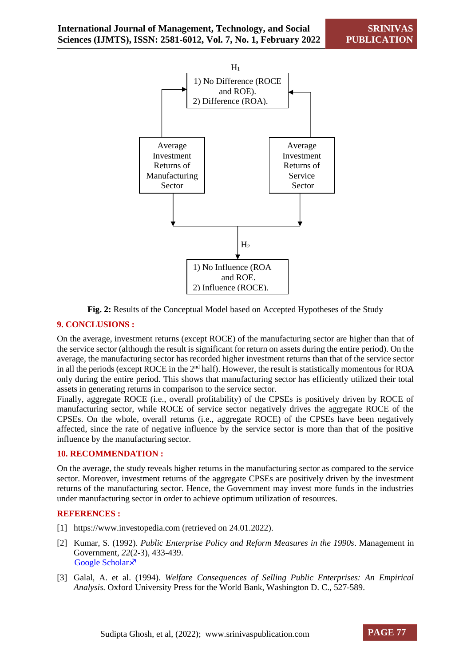

**Fig. 2:** Results of the Conceptual Model based on Accepted Hypotheses of the Study

#### **9. CONCLUSIONS :**

On the average, investment returns (except ROCE) of the manufacturing sector are higher than that of the service sector (although the result is significant for return on assets during the entire period). On the average, the manufacturing sector has recorded higher investment returns than that of the service sector in all the periods (except ROCE in the 2<sup>nd</sup> half). However, the result is statistically momentous for ROA only during the entire period. This shows that manufacturing sector has efficiently utilized their total assets in generating returns in comparison to the service sector.

Finally, aggregate ROCE (i.e., overall profitability) of the CPSEs is positively driven by ROCE of manufacturing sector, while ROCE of service sector negatively drives the aggregate ROCE of the CPSEs. On the whole, overall returns (i.e., aggregate ROCE) of the CPSEs have been negatively affected, since the rate of negative influence by the service sector is more than that of the positive influence by the manufacturing sector.

#### **10. RECOMMENDATION :**

On the average, the study reveals higher returns in the manufacturing sector as compared to the service sector. Moreover, investment returns of the aggregate CPSEs are positively driven by the investment returns of the manufacturing sector. Hence, the Government may invest more funds in the industries under manufacturing sector in order to achieve optimum utilization of resources.

#### **REFERENCES :**

- [1] [https://www.investopedia.com](https://www.investopedia.com/) (retrieved on 24.01.2022).
- [2] Kumar, S. (1992). *[Public Enterprise Policy and Reform Measures in the 1990s](https://www.theinternationaljournal.org/ojs/index.php?journal=rjebs&page=article&op=view&path%5B%5D=4751)*. Management in Government, *22*[\(2-3\), 433-439.](https://www.theinternationaljournal.org/ojs/index.php?journal=rjebs&page=article&op=view&path%5B%5D=4751) Google Scholar ×
- [3] Galal, A. et al. (1994). *Welfare Consequences of Selling Public Enterprises: An Empirical Analysis.* Oxford University Press for the World Bank, Washington D. C., 527-589.